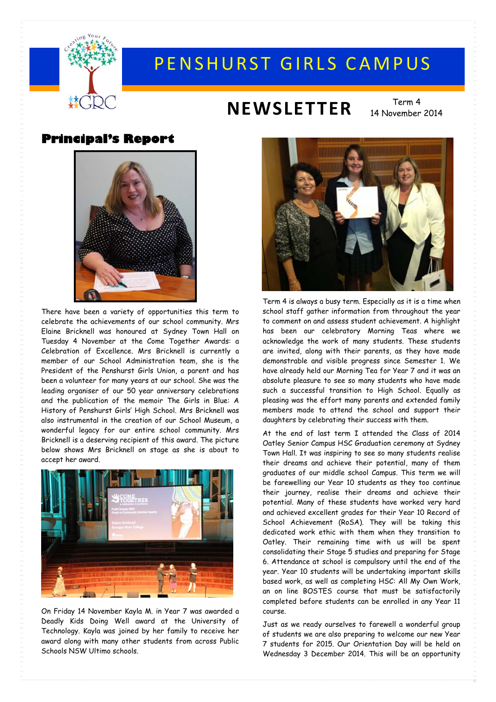

# PENSHURST GIRLS CAMPUS

# **NEWSLETTER** Term 4

14 November 2014

#### **Principal's Report**



There have been a variety of opportunities this term to celebrate the achievements of our school community. Mrs Elaine Bricknell was honoured at Sydney Town Hall on Tuesday 4 November at the Come Together Awards: a Celebration of Excellence. Mrs Bricknell is currently a member of our School Administration team, she is the President of the Penshurst Girls Union, a parent and has been a volunteer for many years at our school. She was the leading organiser of our 50 year anniversary celebrations and the publication of the memoir The Girls in Blue: A History of Penshurst Girls' High School. Mrs Bricknell was also instrumental in the creation of our School Museum, a wonderful legacy for our entire school community. Mrs Bricknell is a deserving recipient of this award. The picture below shows Mrs Bricknell on stage as she is about to accept her award.



On Friday 14 November Kayla M. in Year 7 was awarded a Deadly Kids Doing Well award at the University of Technology. Kayla was joined by her family to receive her award along with many other students from across Public Schools NSW Ultimo schools.



Term 4 is always a busy term. Especially as it is a time when school staff gather information from throughout the year to comment on and assess student achievement. A highlight has been our celebratory Morning Teas where we acknowledge the work of many students. These students are invited, along with their parents, as they have made demonstrable and visible progress since Semester 1. We have already held our Morning Tea for Year 7 and it was an absolute pleasure to see so many students who have made such a successful transition to High School. Equally as pleasing was the effort many parents and extended family members made to attend the school and support their daughters by celebrating their success with them.

At the end of last term I attended the Class of 2014 Oatley Senior Campus HSC Graduation ceremony at Sydney Town Hall. It was inspiring to see so many students realise their dreams and achieve their potential, many of them graduates of our middle school Campus. This term we will be farewelling our Year 10 students as they too continue their journey, realise their dreams and achieve their potential. Many of these students have worked very hard and achieved excellent grades for their Year 10 Record of School Achievement (RoSA). They will be taking this dedicated work ethic with them when they transition to Oatley. Their remaining time with us will be spent consolidating their Stage 5 studies and preparing for Stage 6. Attendance at school is compulsory until the end of the year. Year 10 students will be undertaking important skills based work, as well as completing HSC: All My Own Work, an on line BOSTES course that must be satisfactorily completed before students can be enrolled in any Year 11 course.

Just as we ready ourselves to farewell a wonderful group of students we are also preparing to welcome our new Year 7 students for 2015. Our Orientation Day will be held on Wednesday 3 December 2014. This will be an opportunity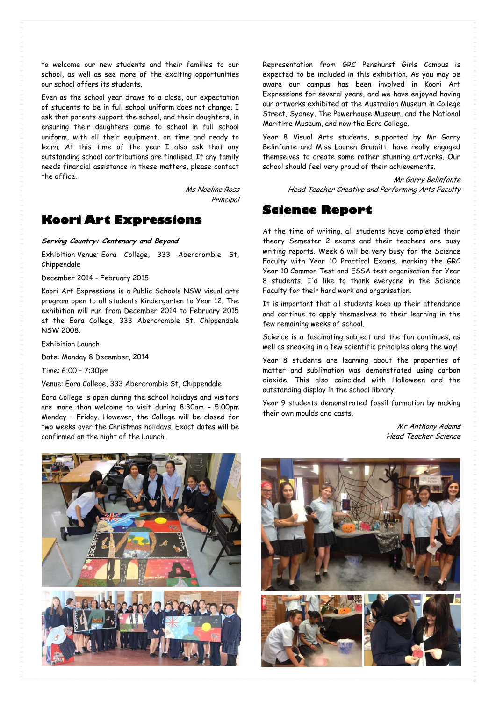to welcome our new students and their families to our school, as well as see more of the exciting opportunities our school offers its students.

Even as the school year draws to a close, our expectation of students to be in full school uniform does not change. I ask that parents support the school, and their daughters, in ensuring their daughters come to school in full school uniform, with all their equipment, on time and ready to learn. At this time of the year I also ask that any outstanding school contributions are finalised. If any family needs financial assistance in these matters, please contact the office.

> Ms Noeline Ross **Principal**

#### **Koori Art Expressions**

**Serving Country: Centenary and Beyond** 

Exhibition Venue: Eora College, 333 Abercrombie St, Chippendale

December 2014 - February 2015

Koori Art Expressions is a Public Schools NSW visual arts program open to all students Kindergarten to Year 12. The exhibition will run from December 2014 to February 2015 at the Eora College, 333 Abercrombie St, Chippendale NSW 2008.

Exhibition Launch

Date: Monday 8 December, 2014

Time: 6:00 – 7:30pm

Venue: Eora College, 333 Abercrombie St, Chippendale

Eora College is open during the school holidays and visitors are more than welcome to visit during 8:30am – 5:00pm Monday – Friday. However, the College will be closed for two weeks over the Christmas holidays. Exact dates will be confirmed on the night of the Launch.

Representation from GRC Penshurst Girls Campus is expected to be included in this exhibition. As you may be aware our campus has been involved in Koori Art Expressions for several years, and we have enjoyed having our artworks exhibited at the Australian Museum in College Street, Sydney, The Powerhouse Museum, and the National Maritime Museum, and now the Eora College.

Year 8 Visual Arts students, supported by Mr Garry Belinfante and Miss Lauren Grumitt, have really engaged themselves to create some rather stunning artworks. Our school should feel very proud of their achievements.

> Mr Garry Belinfante Head Teacher Creative and Performing Arts Faculty

#### **Science Report**

At the time of writing, all students have completed their theory Semester 2 exams and their teachers are busy writing reports. Week 6 will be very busy for the Science Faculty with Year 10 Practical Exams, marking the GRC Year 10 Common Test and ESSA test organisation for Year 8 students. I'd like to thank everyone in the Science Faculty for their hard work and organisation.

It is important that all students keep up their attendance and continue to apply themselves to their learning in the few remaining weeks of school.

Science is a fascinating subject and the fun continues, as well as sneaking in a few scientific principles along the way!

Year 8 students are learning about the properties of matter and sublimation was demonstrated using carbon dioxide. This also coincided with Halloween and the outstanding display in the school library.

Year 9 students demonstrated fossil formation by making their own moulds and casts.

> Mr Anthony Adams Head Teacher Science



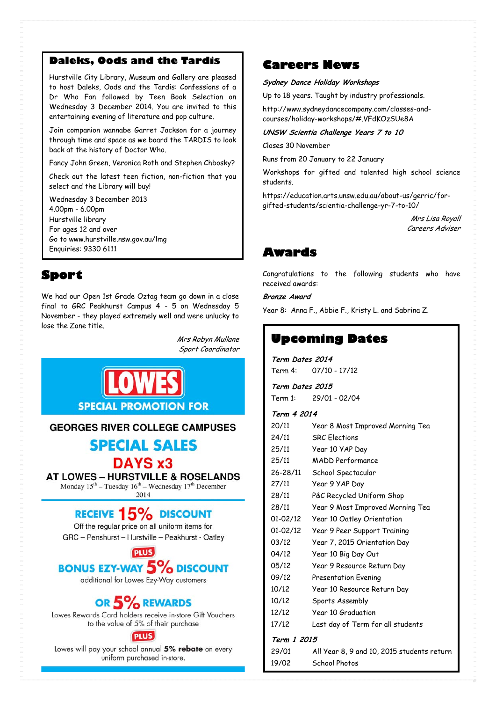#### **Daleks, Oods and the Tardis**

Hurstville City Library, Museum and Gallery are pleased to host Daleks, Oods and the Tardis: Confessions of a Dr Who Fan followed by Teen Book Selection on Wednesday 3 December 2014. You are invited to this entertaining evening of literature and pop culture.

Join companion wannabe Garret Jackson for a journey through time and space as we board the TARDIS to look back at the history of Doctor Who.

Fancy John Green, Veronica Roth and Stephen Chbosky?

Check out the latest teen fiction, non-fiction that you select and the Library will buy!

Wednesday 3 December 2013 4.00pm - 6.00pm Hurstville library For ages 12 and over Go to www.hurstville.nsw.gov.au/lmg Enquiries: 9330 6111

### **Sport**

We had our Open 1st Grade Oztag team go down in a close final to GRC Peakhurst Campus 4 - 5 on Wednesday 5 November - they played extremely well and were unlucky to lose the Zone title.

> Mrs Robyn Mullane Sport Coordinator



#### **GEORGES RIVER COLLEGE CAMPUSES**

## **SPECIAL SALES**

DAYS x3

**AT LOWES - HURSTVILLE & ROSELANDS** Monday 15<sup>th</sup> - Tuesday 16<sup>th</sup> - Wednesday 17<sup>th</sup> December 2014

## **RECEIVE 15% DISCOUNT**

Off the regular price on all uniform items for GRC - Penshurst - Hurstville - Peakhurst - Oatley

**PLUS BONUS EZY-WAY 5% DISCOUNT** 

additional for Lowes Ezy-Way customers

## OR 5% REWARDS

Lowes Rewards Card holders receive in-store Gift Vouchers to the value of 5% of their purchase

#### **PLUS**

Lowes will pay your school annual 5% rebate on every uniform purchased in-store.

#### **Careers News**

#### **Sydney Dance Holiday Workshops**

Up to 18 years. Taught by industry professionals.

http://www.sydneydancecompany.com/classes-andcourses/holiday-workshops/#.VFdKOzSUe8A

**UNSW Scientia Challenge Years 7 to 10** 

Closes 30 November

Runs from 20 January to 22 January

Workshops for gifted and talented high school science students.

https://education.arts.unsw.edu.au/about-us/gerric/forgifted-students/scientia-challenge-yr-7-to-10/

> Mrs Lisa Royall Careers Adviser

## **Awards**

Congratulations to the following students who have received awards:

**Bronze Award** 

Year 8: Anna F., Abbie F., Kristy L. and Sabrina Z.

## **Upcoming Dates**

**Term Dates 2014**  Term 4: 07/10 - 17/12

**Term Dates 2015**  Term 1: 29/01 - 02/04

19/02 School Photos

#### **Term 4 2014**

|             | 20/11    | Year 8 Most Improved Morning Tea           |
|-------------|----------|--------------------------------------------|
|             | 24/11    | <b>SRC</b> Flections                       |
|             | 25/11    | Year 10 YAP Day                            |
|             | 25/11    | MADD Performance                           |
|             | 26-28/11 | School Spectacular                         |
|             | 27/11    | Year 9 YAP Day                             |
|             | 28/11    | P&C Recycled Uniform Shop                  |
|             | 28/11    | Year 9 Most Improved Morning Tea           |
|             | 01-02/12 | Year 10 Oatley Orientation                 |
|             | 01-02/12 | Year 9 Peer Support Training               |
|             | 03/12    | Year 7, 2015 Orientation Day               |
|             | 04/12    | Year 10 Big Day Out                        |
|             | 05/12    | Year 9 Resource Return Day                 |
|             | 09/12    | <b>Presentation Evening</b>                |
|             | 10/12    | Year 10 Resource Return Day                |
|             | 10/12    | Sports Assembly                            |
|             | 12/12    | Year 10 Graduation                         |
|             | 17/12    | Last day of Term for all students          |
| Term 1 2015 |          |                                            |
|             | 29/01    | All Year 8, 9 and 10, 2015 students return |
|             |          |                                            |